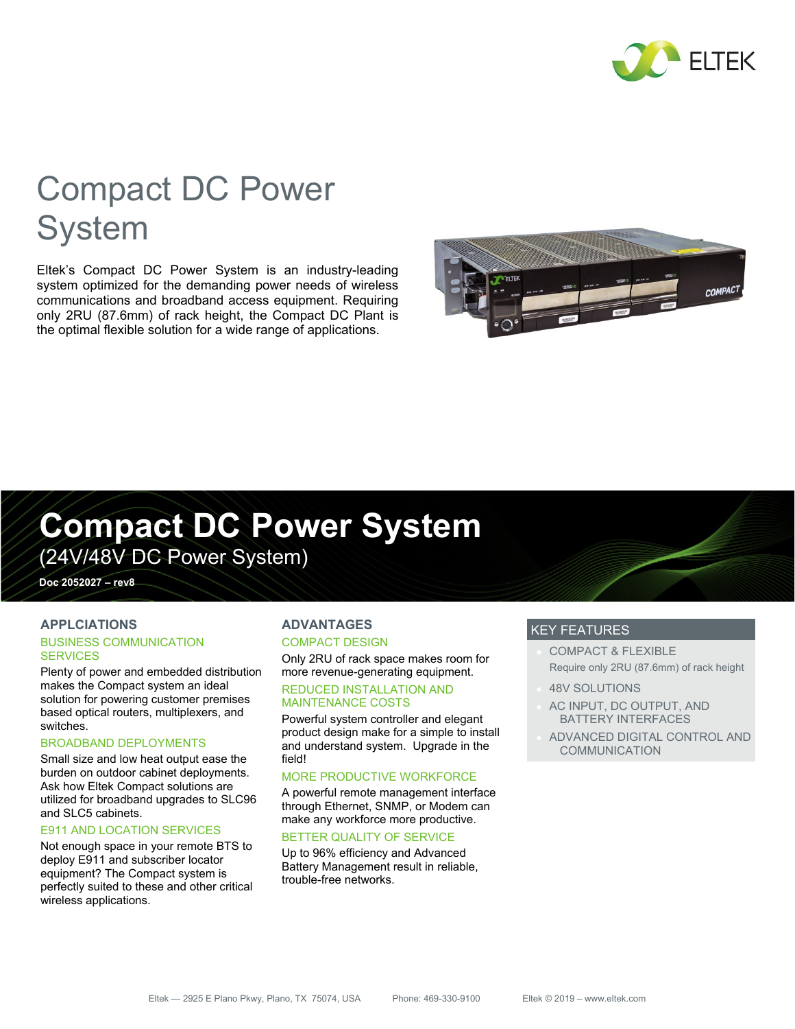

# Compact DC Power **System**

Eltek's Compact DC Power System is an industry-leading system optimized for the demanding power needs of wireless communications and broadband access equipment. Requiring only 2RU (87.6mm) of rack height, the Compact DC Plant is the optimal flexible solution for a wide range of applications.



# **Compact DC Power System**

(24V/48V DC Power System)

**Doc 2052027 – rev8** 

### **APPLCIATIONS**

#### BUSINESS COMMUNICATION **SERVICES**

Plenty of power and embedded distribution makes the Compact system an ideal solution for powering customer premises based optical routers, multiplexers, and switches.

#### BROADBAND DEPLOYMENTS

Small size and low heat output ease the burden on outdoor cabinet deployments. Ask how Eltek Compact solutions are utilized for broadband upgrades to SLC96 and SLC5 cabinets.

#### E911 AND LOCATION SERVICES

Not enough space in your remote BTS to deploy E911 and subscriber locator equipment? The Compact system is perfectly suited to these and other critical wireless applications.

## **ADVANTAGES**

#### COMPACT DESIGN

Only 2RU of rack space makes room for more revenue-generating equipment.

#### REDUCED INSTALLATION AND MAINTENANCE COSTS

Powerful system controller and elegant product design make for a simple to install and understand system. Upgrade in the field!

#### MORE PRODUCTIVE WORKFORCE

A powerful remote management interface through Ethernet, SNMP, or Modem can make any workforce more productive.

#### BETTER QUALITY OF SERVICE

Up to 96% efficiency and Advanced Battery Management result in reliable, trouble-free networks.

## KEY FEATURES

- COMPACT & FLEXIBLE Require only 2RU (87.6mm) of rack height
- 48V SOLUTIONS
- AC INPUT, DC OUTPUT, AND BATTERY INTERFACES
- ADVANCED DIGITAL CONTROL AND COMMUNICATION